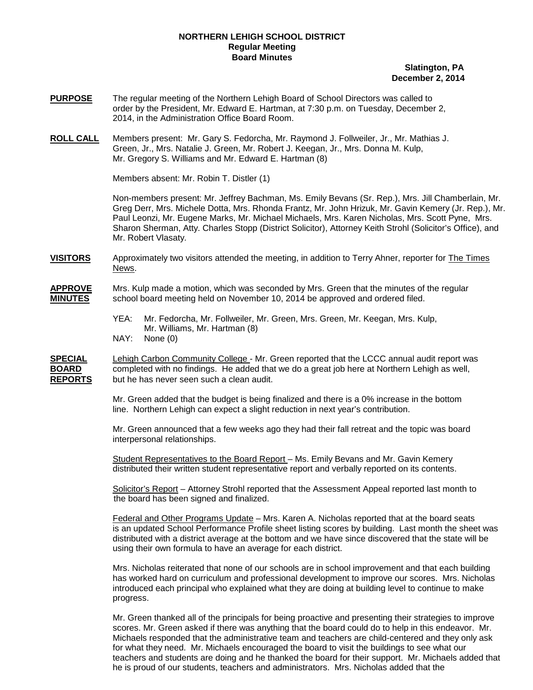## **NORTHERN LEHIGH SCHOOL DISTRICT Regular Meeting Board Minutes**

## **Slatington, PA December 2, 2014**

- **PURPOSE** The regular meeting of the Northern Lehigh Board of School Directors was called to order by the President, Mr. Edward E. Hartman, at 7:30 p.m. on Tuesday, December 2, 2014, in the Administration Office Board Room.
- **ROLL CALL** Mr. Gregory S. Williams and Mr. Edward E. Hartman (8) Members present: Mr. Gary S. Fedorcha, Mr. Raymond J. Follweiler, Jr., Mr. Mathias J. Green, Jr., Mrs. Natalie J. Green, Mr. Robert J. Keegan, Jr., Mrs. Donna M. Kulp,

Members absent: Mr. Robin T. Distler (1)

Non-members present: Mr. Jeffrey Bachman, Ms. Emily Bevans (Sr. Rep.), Mrs. Jill Chamberlain, Mr. Greg Derr, Mrs. Michele Dotta, Mrs. Rhonda Frantz, Mr. John Hrizuk, Mr. Gavin Kemery (Jr. Rep.), Mr. Paul Leonzi, Mr. Eugene Marks, Mr. Michael Michaels, Mrs. Karen Nicholas, Mrs. Scott Pyne, Mrs. Sharon Sherman, Atty. Charles Stopp (District Solicitor), Attorney Keith Strohl (Solicitor's Office), and Mr. Robert Vlasaty.

**VISITORS** Approximately two visitors attended the meeting, in addition to Terry Ahner, reporter for The Times News.

**APPROVE** Mrs. Kulp made a motion, which was seconded by Mrs. Green that the minutes of the regular **MINUTES** school board meeting held on November 10, 2014 be approved and ordered filed.

> YEA: Mr. Fedorcha, Mr. Follweiler, Mr. Green, Mrs. Green, Mr. Keegan, Mrs. Kulp, Mr. Williams, Mr. Hartman (8) NAY: None (0)

**SPECIAL** Lehigh Carbon Community College - Mr. Green reported that the LCCC annual audit report was **BOARD** completed with no findings. He added that we do a great job here at Northern Lehigh as well, **REPORTS** but he has never seen such a clean audit. but he has never seen such a clean audit.

> Mr. Green added that the budget is being finalized and there is a 0% increase in the bottom line. Northern Lehigh can expect a slight reduction in next year's contribution.

Mr. Green announced that a few weeks ago they had their fall retreat and the topic was board interpersonal relationships.

Student Representatives to the Board Report – Ms. Emily Bevans and Mr. Gavin Kemery distributed their written student representative report and verbally reported on its contents.

<u>Solicitor's Report</u> – Attorney Strohl reported that the Assessment Appeal reported last month to the board has been signed and finalized.

<u>Federal and Other Programs Update</u> – Mrs. Karen A. Nicholas reported that at the board seats is an updated School Performance Profile sheet listing scores by building. Last month the sheet was distributed with a district average at the bottom and we have since discovered that the state will be using their own formula to have an average for each district.

Mrs. Nicholas reiterated that none of our schools are in school improvement and that each building has worked hard on curriculum and professional development to improve our scores. Mrs. Nicholas introduced each principal who explained what they are doing at building level to continue to make progress.

Mr. Green thanked all of the principals for being proactive and presenting their strategies to improve scores. Mr. Green asked if there was anything that the board could do to help in this endeavor. Mr. Michaels responded that the administrative team and teachers are child-centered and they only ask for what they need. Mr. Michaels encouraged the board to visit the buildings to see what our teachers and students are doing and he thanked the board for their support. Mr. Michaels added that he is proud of our students, teachers and administrators. Mrs. Nicholas added that the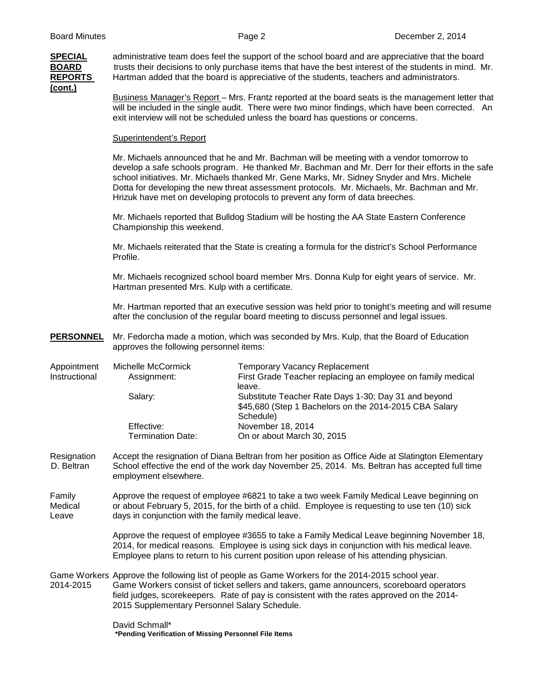| <b>SPECIAL</b><br><b>BOARD</b><br><b>REPORTS</b><br>$($ cont. $)$ | administrative team does feel the support of the school board and are appreciative that the board<br>trusts their decisions to only purchase items that have the best interest of the students in mind. Mr.<br>Hartman added that the board is appreciative of the students, teachers and administrators.                                                                                                                                                                    |                                                                                                                                                                                                     |  |
|-------------------------------------------------------------------|------------------------------------------------------------------------------------------------------------------------------------------------------------------------------------------------------------------------------------------------------------------------------------------------------------------------------------------------------------------------------------------------------------------------------------------------------------------------------|-----------------------------------------------------------------------------------------------------------------------------------------------------------------------------------------------------|--|
|                                                                   | Business Manager's Report – Mrs. Frantz reported at the board seats is the management letter that<br>will be included in the single audit. There were two minor findings, which have been corrected. An<br>exit interview will not be scheduled unless the board has questions or concerns.                                                                                                                                                                                  |                                                                                                                                                                                                     |  |
|                                                                   | Superintendent's Report                                                                                                                                                                                                                                                                                                                                                                                                                                                      |                                                                                                                                                                                                     |  |
|                                                                   | Mr. Michaels announced that he and Mr. Bachman will be meeting with a vendor tomorrow to<br>develop a safe schools program. He thanked Mr. Bachman and Mr. Derr for their efforts in the safe<br>school initiatives. Mr. Michaels thanked Mr. Gene Marks, Mr. Sidney Snyder and Mrs. Michele<br>Dotta for developing the new threat assessment protocols. Mr. Michaels, Mr. Bachman and Mr.<br>Hrizuk have met on developing protocols to prevent any form of data breeches. |                                                                                                                                                                                                     |  |
|                                                                   | Mr. Michaels reported that Bulldog Stadium will be hosting the AA State Eastern Conference<br>Championship this weekend.                                                                                                                                                                                                                                                                                                                                                     |                                                                                                                                                                                                     |  |
|                                                                   | Mr. Michaels reiterated that the State is creating a formula for the district's School Performance<br>Profile.                                                                                                                                                                                                                                                                                                                                                               |                                                                                                                                                                                                     |  |
|                                                                   | Mr. Michaels recognized school board member Mrs. Donna Kulp for eight years of service. Mr.<br>Hartman presented Mrs. Kulp with a certificate.                                                                                                                                                                                                                                                                                                                               |                                                                                                                                                                                                     |  |
|                                                                   | Mr. Hartman reported that an executive session was held prior to tonight's meeting and will resume<br>after the conclusion of the regular board meeting to discuss personnel and legal issues.                                                                                                                                                                                                                                                                               |                                                                                                                                                                                                     |  |
| <b>PERSONNEL</b>                                                  | approves the following personnel items:                                                                                                                                                                                                                                                                                                                                                                                                                                      | Mr. Fedorcha made a motion, which was seconded by Mrs. Kulp, that the Board of Education                                                                                                            |  |
| Appointment<br>Instructional                                      | Michelle McCormick<br>Assignment:                                                                                                                                                                                                                                                                                                                                                                                                                                            | <b>Temporary Vacancy Replacement</b><br>First Grade Teacher replacing an employee on family medical<br>leave.                                                                                       |  |
|                                                                   | Salary:                                                                                                                                                                                                                                                                                                                                                                                                                                                                      | Substitute Teacher Rate Days 1-30; Day 31 and beyond<br>\$45,680 (Step 1 Bachelors on the 2014-2015 CBA Salary<br>Schedule)                                                                         |  |
|                                                                   | Effective:<br><b>Termination Date:</b>                                                                                                                                                                                                                                                                                                                                                                                                                                       | November 18, 2014<br>On or about March 30, 2015                                                                                                                                                     |  |
| Resignation<br>D. Beltran                                         | employment elsewhere.                                                                                                                                                                                                                                                                                                                                                                                                                                                        | Accept the resignation of Diana Beltran from her position as Office Aide at Slatington Elementary<br>School effective the end of the work day November 25, 2014. Ms. Beltran has accepted full time |  |
| Family<br>Medical<br>Leave                                        | Approve the request of employee #6821 to take a two week Family Medical Leave beginning on<br>or about February 5, 2015, for the birth of a child. Employee is requesting to use ten (10) sick<br>days in conjunction with the family medical leave.                                                                                                                                                                                                                         |                                                                                                                                                                                                     |  |
|                                                                   | Approve the request of employee #3655 to take a Family Medical Leave beginning November 18,<br>2014, for medical reasons. Employee is using sick days in conjunction with his medical leave.<br>Employee plans to return to his current position upon release of his attending physician.                                                                                                                                                                                    |                                                                                                                                                                                                     |  |
| 2014-2015                                                         | Game Workers Approve the following list of people as Game Workers for the 2014-2015 school year.<br>Game Workers consist of ticket sellers and takers, game announcers, scoreboard operators<br>field judges, scorekeepers. Rate of pay is consistent with the rates approved on the 2014-<br>2015 Supplementary Personnel Salary Schedule.                                                                                                                                  |                                                                                                                                                                                                     |  |
|                                                                   | David Schmall*<br>*Pending Verification of Missing Personnel File Items                                                                                                                                                                                                                                                                                                                                                                                                      |                                                                                                                                                                                                     |  |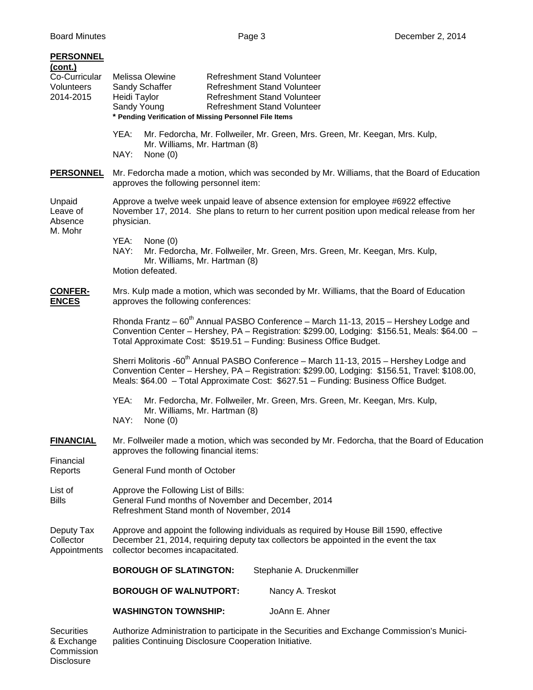Disclosure

| <b>PERSONNEL</b><br>(cont.)<br>Co-Curricular<br>Volunteers<br>2014-2015 | <b>Melissa Olewine</b><br><b>Refreshment Stand Volunteer</b><br>Refreshment Stand Volunteer<br>Sandy Schaffer<br>Refreshment Stand Volunteer<br>Heidi Taylor<br>Sandy Young<br><b>Refreshment Stand Volunteer</b><br>* Pending Verification of Missing Personnel File Items                  |  |  |
|-------------------------------------------------------------------------|----------------------------------------------------------------------------------------------------------------------------------------------------------------------------------------------------------------------------------------------------------------------------------------------|--|--|
|                                                                         | Mr. Fedorcha, Mr. Follweiler, Mr. Green, Mrs. Green, Mr. Keegan, Mrs. Kulp,<br>YEA:<br>Mr. Williams, Mr. Hartman (8)<br>NAY:<br>None $(0)$                                                                                                                                                   |  |  |
| <b>PERSONNEL</b>                                                        | Mr. Fedorcha made a motion, which was seconded by Mr. Williams, that the Board of Education<br>approves the following personnel item:                                                                                                                                                        |  |  |
| Unpaid<br>Leave of<br>Absence<br>M. Mohr                                | Approve a twelve week unpaid leave of absence extension for employee #6922 effective<br>November 17, 2014. She plans to return to her current position upon medical release from her<br>physician.                                                                                           |  |  |
|                                                                         | YEA:<br>None $(0)$<br>NAY:<br>Mr. Fedorcha, Mr. Follweiler, Mr. Green, Mrs. Green, Mr. Keegan, Mrs. Kulp,<br>Mr. Williams, Mr. Hartman (8)<br>Motion defeated.                                                                                                                               |  |  |
| <b>CONFER-</b><br><b>ENCES</b>                                          | Mrs. Kulp made a motion, which was seconded by Mr. Williams, that the Board of Education<br>approves the following conferences:                                                                                                                                                              |  |  |
|                                                                         | Rhonda Frantz - 60 <sup>th</sup> Annual PASBO Conference - March 11-13, 2015 - Hershey Lodge and<br>Convention Center - Hershey, PA - Registration: \$299.00, Lodging: \$156.51, Meals: \$64.00 -<br>Total Approximate Cost: \$519.51 - Funding: Business Office Budget.                     |  |  |
|                                                                         | Sherri Molitoris -60 <sup>th</sup> Annual PASBO Conference - March 11-13, 2015 - Hershey Lodge and<br>Convention Center - Hershey, PA - Registration: \$299.00, Lodging: \$156.51, Travel: \$108.00,<br>Meals: \$64.00 - Total Approximate Cost: \$627.51 - Funding: Business Office Budget. |  |  |
|                                                                         | YEA:<br>Mr. Fedorcha, Mr. Follweiler, Mr. Green, Mrs. Green, Mr. Keegan, Mrs. Kulp,<br>Mr. Williams, Mr. Hartman (8)<br>NAY:<br>None $(0)$                                                                                                                                                   |  |  |
| <b>FINANCIAL</b>                                                        | Mr. Follweiler made a motion, which was seconded by Mr. Fedorcha, that the Board of Education<br>approves the following financial items:                                                                                                                                                     |  |  |
| Financial<br>Reports                                                    | General Fund month of October                                                                                                                                                                                                                                                                |  |  |
| List of<br><b>Bills</b>                                                 | Approve the Following List of Bills:<br>General Fund months of November and December, 2014<br>Refreshment Stand month of November, 2014                                                                                                                                                      |  |  |
| Deputy Tax<br>Collector<br>Appointments                                 | Approve and appoint the following individuals as required by House Bill 1590, effective<br>December 21, 2014, requiring deputy tax collectors be appointed in the event the tax<br>collector becomes incapacitated.                                                                          |  |  |
|                                                                         | <b>BOROUGH OF SLATINGTON:</b><br>Stephanie A. Druckenmiller                                                                                                                                                                                                                                  |  |  |
|                                                                         | <b>BOROUGH OF WALNUTPORT:</b><br>Nancy A. Treskot                                                                                                                                                                                                                                            |  |  |
|                                                                         | JoAnn E. Ahner<br><b>WASHINGTON TOWNSHIP:</b>                                                                                                                                                                                                                                                |  |  |
| <b>Securities</b><br>& Exchange<br>Commission                           | Authorize Administration to participate in the Securities and Exchange Commission's Munici-<br>palities Continuing Disclosure Cooperation Initiative.                                                                                                                                        |  |  |